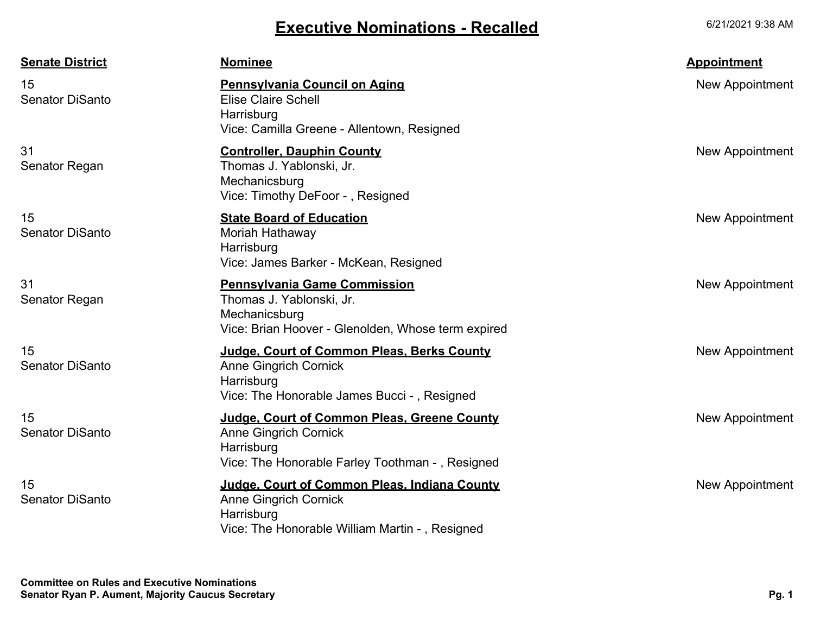## **Executive Nominations - Recalled**

6/21/2021 9:38 AM

| <b>Senate District</b>       | <b>Nominee</b>                                                                                                                               | <b>Appointment</b>     |
|------------------------------|----------------------------------------------------------------------------------------------------------------------------------------------|------------------------|
| 15<br><b>Senator DiSanto</b> | <b>Pennsylvania Council on Aging</b><br><b>Elise Claire Schell</b><br>Harrisburg<br>Vice: Camilla Greene - Allentown, Resigned               | New Appointment        |
| 31<br>Senator Regan          | <b>Controller, Dauphin County</b><br>Thomas J. Yablonski, Jr.<br>Mechanicsburg<br>Vice: Timothy DeFoor -, Resigned                           | New Appointment        |
| 15<br><b>Senator DiSanto</b> | <b>State Board of Education</b><br>Moriah Hathaway<br>Harrisburg<br>Vice: James Barker - McKean, Resigned                                    | <b>New Appointment</b> |
| 31<br>Senator Regan          | <b>Pennsylvania Game Commission</b><br>Thomas J. Yablonski, Jr.<br>Mechanicsburg<br>Vice: Brian Hoover - Glenolden, Whose term expired       | New Appointment        |
| 15<br><b>Senator DiSanto</b> | Judge, Court of Common Pleas, Berks County<br><b>Anne Gingrich Cornick</b><br>Harrisburg<br>Vice: The Honorable James Bucci -, Resigned      | New Appointment        |
| 15<br><b>Senator DiSanto</b> | Judge, Court of Common Pleas, Greene County<br><b>Anne Gingrich Cornick</b><br>Harrisburg<br>Vice: The Honorable Farley Toothman -, Resigned | New Appointment        |
| 15<br><b>Senator DiSanto</b> | Judge, Court of Common Pleas, Indiana County<br><b>Anne Gingrich Cornick</b><br>Harrisburg<br>Vice: The Honorable William Martin -, Resigned | <b>New Appointment</b> |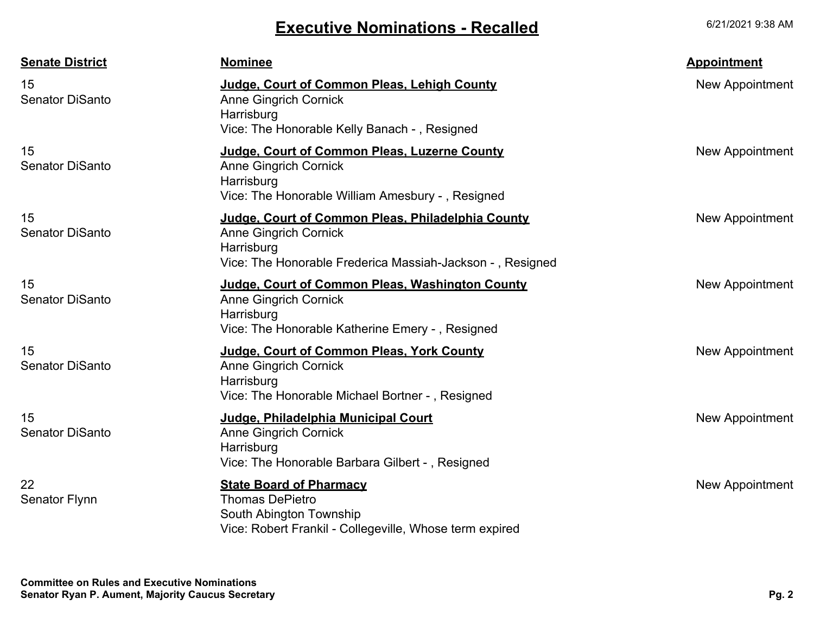## **Executive Nominations - Recalled**

6/21/2021 9:38 AM

| <b>Senate District</b>       | <b>Nominee</b>                                                                                                                                               | <b>Appointment</b> |
|------------------------------|--------------------------------------------------------------------------------------------------------------------------------------------------------------|--------------------|
| 15<br><b>Senator DiSanto</b> | Judge, Court of Common Pleas, Lehigh County<br><b>Anne Gingrich Cornick</b><br>Harrisburg<br>Vice: The Honorable Kelly Banach -, Resigned                    | New Appointment    |
| 15<br><b>Senator DiSanto</b> | Judge, Court of Common Pleas, Luzerne County<br><b>Anne Gingrich Cornick</b><br>Harrisburg<br>Vice: The Honorable William Amesbury -, Resigned               | New Appointment    |
| 15<br><b>Senator DiSanto</b> | Judge, Court of Common Pleas, Philadelphia County<br><b>Anne Gingrich Cornick</b><br>Harrisburg<br>Vice: The Honorable Frederica Massiah-Jackson -, Resigned | New Appointment    |
| 15<br><b>Senator DiSanto</b> | Judge, Court of Common Pleas, Washington County<br><b>Anne Gingrich Cornick</b><br>Harrisburg<br>Vice: The Honorable Katherine Emery -, Resigned             | New Appointment    |
| 15<br><b>Senator DiSanto</b> | Judge, Court of Common Pleas, York County<br><b>Anne Gingrich Cornick</b><br>Harrisburg<br>Vice: The Honorable Michael Bortner -, Resigned                   | New Appointment    |
| 15<br><b>Senator DiSanto</b> | Judge, Philadelphia Municipal Court<br><b>Anne Gingrich Cornick</b><br>Harrisburg<br>Vice: The Honorable Barbara Gilbert -, Resigned                         | New Appointment    |
| 22<br>Senator Flynn          | <b>State Board of Pharmacy</b><br><b>Thomas DePietro</b><br>South Abington Township<br>Vice: Robert Frankil - Collegeville, Whose term expired               | New Appointment    |